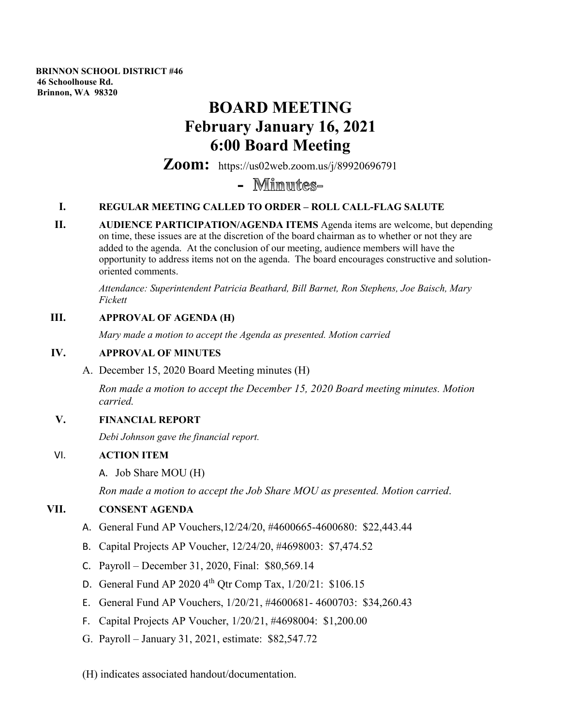**BRINNON SCHOOL DISTRICT #46 46 Schoolhouse Rd. Brinnon, WA 98320**

# **BOARD MEETING February January 16, 2021 6:00 Board Meeting**

**Zoom:** https://us02web.zoom.us/j/89920696791

## **-**

#### **I. REGULAR MEETING CALLED TO ORDER – ROLL CALL-FLAG SALUTE**

**II. AUDIENCE PARTICIPATION/AGENDA ITEMS** Agenda items are welcome, but depending on time, these issues are at the discretion of the board chairman as to whether or not they are added to the agenda. At the conclusion of our meeting, audience members will have the opportunity to address items not on the agenda. The board encourages constructive and solutionoriented comments.

*Attendance: Superintendent Patricia Beathard, Bill Barnet, Ron Stephens, Joe Baisch, Mary Fickett*

#### **III. APPROVAL OF AGENDA (H)**

*Mary made a motion to accept the Agenda as presented. Motion carried*

#### **IV. APPROVAL OF MINUTES**

A. December 15, 2020 Board Meeting minutes (H)

*Ron made a motion to accept the December 15, 2020 Board meeting minutes. Motion carried.*

#### **V. FINANCIAL REPORT**

*Debi Johnson gave the financial report.*

#### VI. **ACTION ITEM**

A. Job Share MOU (H)

*Ron made a motion to accept the Job Share MOU as presented. Motion carried*.

#### **VII. CONSENT AGENDA**

- A. General Fund AP Vouchers,12/24/20, #4600665-4600680: \$22,443.44
- B. Capital Projects AP Voucher, 12/24/20, #4698003: \$7,474.52
- C. Payroll December 31, 2020, Final: \$80,569.14
- D. General Fund AP 2020  $4^{th}$  Qtr Comp Tax,  $1/20/21:$  \$106.15
- E. General Fund AP Vouchers, 1/20/21, #4600681- 4600703: \$34,260.43
- F. Capital Projects AP Voucher, 1/20/21, #4698004: \$1,200.00
- G. Payroll January 31, 2021, estimate: \$82,547.72
- (H) indicates associated handout/documentation.